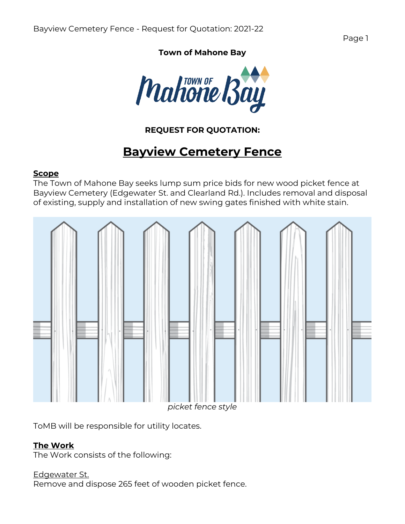Page 1

## **Town of Mahone Bay**



# **REQUEST FOR QUOTATION:**

# **Bayview Cemetery Fence**

#### **Scope**

The Town of Mahone Bay seeks lump sum price bids for new wood picket fence at Bayview Cemetery (Edgewater St. and Clearland Rd.). Includes removal and disposal of existing, supply and installation of new swing gates finished with white stain.



ToMB will be responsible for utility locates.

## **The Work**

The Work consists of the following:

#### Edgewater St.

Remove and dispose 265 feet of wooden picket fence.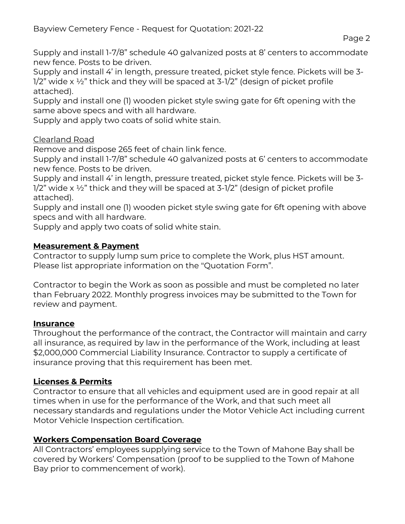Supply and install 1-7/8" schedule 40 galvanized posts at 8' centers to accommodate new fence. Posts to be driven.

Supply and install 4' in length, pressure treated, picket style fence. Pickets will be 3-  $1/2$ " wide x  $\frac{1}{2}$ " thick and they will be spaced at 3- $\frac{1}{2}$ " (design of picket profile attached).

Supply and install one (1) wooden picket style swing gate for 6ft opening with the same above specs and with all hardware.

Supply and apply two coats of solid white stain.

# Clearland Road

Remove and dispose 265 feet of chain link fence.

Supply and install 1-7/8" schedule 40 galvanized posts at 6' centers to accommodate new fence. Posts to be driven.

Supply and install 4' in length, pressure treated, picket style fence. Pickets will be 3- 1/2" wide x ½" thick and they will be spaced at 3-1/2" (design of picket profile attached).

Supply and install one (1) wooden picket style swing gate for 6ft opening with above specs and with all hardware.

Supply and apply two coats of solid white stain.

## **Measurement & Payment**

Contractor to supply lump sum price to complete the Work, plus HST amount. Please list appropriate information on the "Quotation Form".

Contractor to begin the Work as soon as possible and must be completed no later than February 2022. Monthly progress invoices may be submitted to the Town for review and payment.

## **Insurance**

Throughout the performance of the contract, the Contractor will maintain and carry all insurance, as required by law in the performance of the Work, including at least \$2,000,000 Commercial Liability Insurance. Contractor to supply a certificate of insurance proving that this requirement has been met.

# **Licenses & Permits**

Contractor to ensure that all vehicles and equipment used are in good repair at all times when in use for the performance of the Work, and that such meet all necessary standards and regulations under the Motor Vehicle Act including current Motor Vehicle Inspection certification.

# **Workers Compensation Board Coverage**

All Contractors' employees supplying service to the Town of Mahone Bay shall be covered by Workers' Compensation (proof to be supplied to the Town of Mahone Bay prior to commencement of work).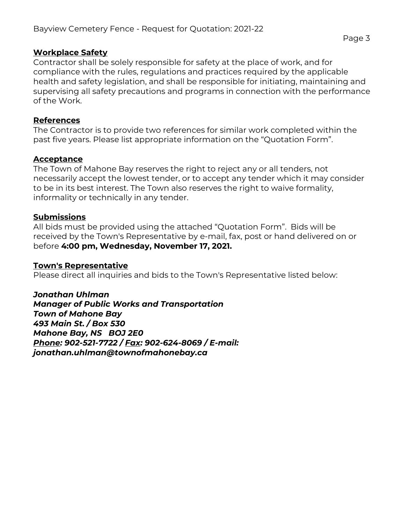#### **Workplace Safety**

Contractor shall be solely responsible for safety at the place of work, and for compliance with the rules, regulations and practices required by the applicable health and safety legislation, and shall be responsible for initiating, maintaining and supervising all safety precautions and programs in connection with the performance of the Work.

#### **References**

The Contractor is to provide two references for similar work completed within the past five years. Please list appropriate information on the "Quotation Form".

#### **Acceptance**

The Town of Mahone Bay reserves the right to reject any or all tenders, not necessarily accept the lowest tender, or to accept any tender which it may consider to be in its best interest. The Town also reserves the right to waive formality, informality or technically in any tender.

#### **Submissions**

All bids must be provided using the attached "Quotation Form". Bids will be received by the Town's Representative by e-mail, fax, post or hand delivered on or before **4:00 pm, Wednesday, November 17, 2021.**

#### **Town's Representative**

Please direct all inquiries and bids to the Town's Representative listed below:

*Jonathan Uhlman Manager of Public Works and Transportation Town of Mahone Bay 493 Main St. / Box 530 Mahone Bay, NS BOJ 2E0 Phone: 902-521-7722 / Fax: 902-624-8069 / E-mail: jonathan.uhlman@townofmahonebay.ca*